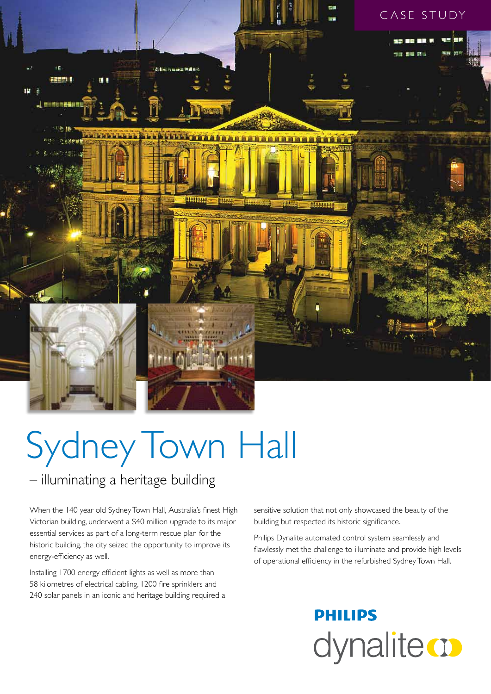

# Sydney Town Hall

### – illuminating a heritage building

When the 140 year old Sydney Town Hall, Australia's finest High Victorian building, underwent a \$40 million upgrade to its major essential services as part of a long-term rescue plan for the historic building, the city seized the opportunity to improve its energy-efficiency as well.

Installing 1700 energy efficient lights as well as more than 58 kilometres of electrical cabling, 1200 fire sprinklers and 240 solar panels in an iconic and heritage building required a sensitive solution that not only showcased the beauty of the building but respected its historic significance.

Philips Dynalite automated control system seamlessly and flawlessly met the challenge to illuminate and provide high levels of operational efficiency in the refurbished Sydney Town Hall.

# **PHILIPS** dynalite **o**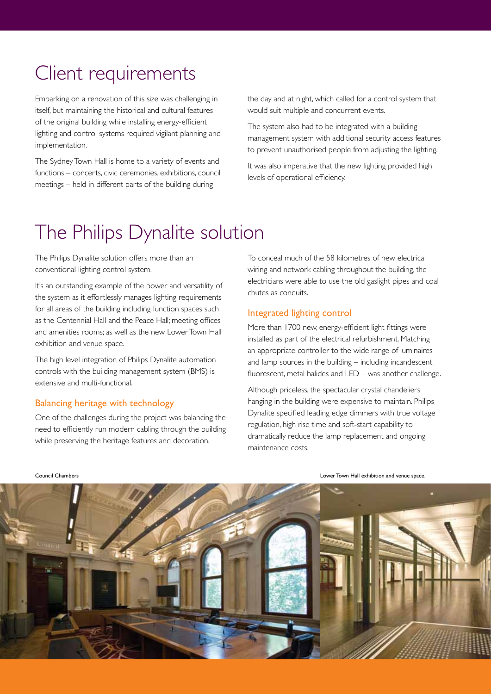# Client requirements

Embarking on a renovation of this size was challenging in itself, but maintaining the historical and cultural features of the original building while installing energy-efficient lighting and control systems required vigilant planning and implementation.

The Sydney Town Hall is home to a variety of events and functions – concerts, civic ceremonies, exhibitions, council meetings – held in different parts of the building during

the day and at night, which called for a control system that would suit multiple and concurrent events.

The system also had to be integrated with a building management system with additional security access features to prevent unauthorised people from adjusting the lighting.

It was also imperative that the new lighting provided high levels of operational efficiency.

# The Philips Dynalite solution

The Philips Dynalite solution offers more than an conventional lighting control system.

It's an outstanding example of the power and versatility of the system as it effortlessly manages lighting requirements for all areas of the building including function spaces such as the Centennial Hall and the Peace Hall; meeting offices and amenities rooms; as well as the new Lower Town Hall exhibition and venue space.

The high level integration of Philips Dynalite automation controls with the building management system (BMS) is extensive and multi-functional.

#### Balancing heritage with technology

One of the challenges during the project was balancing the need to efficiently run modern cabling through the building while preserving the heritage features and decoration.

To conceal much of the 58 kilometres of new electrical wiring and network cabling throughout the building, the electricians were able to use the old gaslight pipes and coal chutes as conduits.

#### Integrated lighting control

More than 1700 new, energy-efficient light fittings were installed as part of the electrical refurbishment. Matching an appropriate controller to the wide range of luminaires and lamp sources in the building – including incandescent, fluorescent, metal halides and LED – was another challenge.

Although priceless, the spectacular crystal chandeliers hanging in the building were expensive to maintain. Philips Dynalite specified leading edge dimmers with true voltage regulation, high rise time and soft-start capability to dramatically reduce the lamp replacement and ongoing maintenance costs.

Council Chambers Lower Town Hall exhibition and venue space.

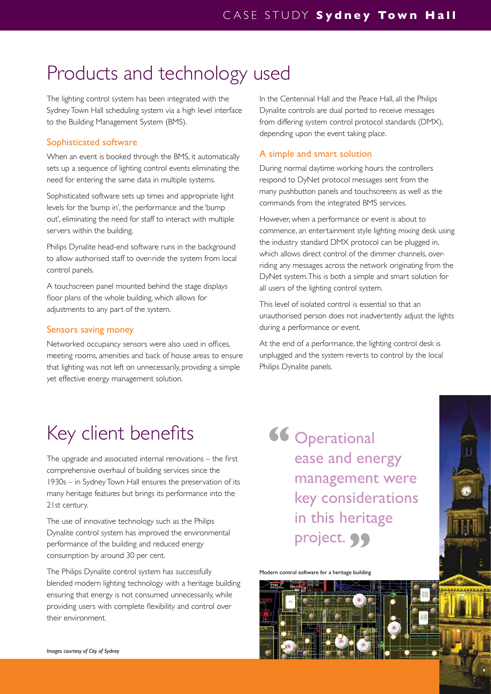# Products and technology used

The lighting control system has been integrated with the Sydney Town Hall scheduling system via a high level interface to the Building Management System (BMS).

#### Sophisticated software

When an event is booked through the BMS, it automatically sets up a sequence of lighting control events eliminating the need for entering the same data in multiple systems.

Sophisticated software sets up times and appropriate light levels for the 'bump in', the performance and the 'bump out', eliminating the need for staff to interact with multiple servers within the building.

Philips Dynalite head-end software runs in the background to allow authorised staff to over-ride the system from local control panels.

A touchscreen panel mounted behind the stage displays floor plans of the whole building, which allows for adjustments to any part of the system.

#### Sensors saving money

Networked occupancy sensors were also used in offices, meeting rooms, amenities and back of house areas to ensure that lighting was not left on unnecessarily, providing a simple yet effective energy management solution.

In the Centennial Hall and the Peace Hall, all the Philips Dynalite controls are dual ported to receive messages from differing system control protocol standards (DMX), depending upon the event taking place.

#### A simple and smart solution

During normal daytime working hours the controllers respond to DyNet protocol messages sent from the many pushbutton panels and touchscreens as well as the commands from the integrated BMS services.

However, when a performance or event is about to commence, an entertainment style lighting mixing desk using the industry standard DMX protocol can be plugged in, which allows direct control of the dimmer channels, overriding any messages across the network originating from the DyNet system. This is both a simple and smart solution for all users of the lighting control system.

This level of isolated control is essential so that an unauthorised person does not inadvertently adjust the lights during a performance or event.

At the end of a performance, the lighting control desk is unplugged and the system reverts to control by the local Philips Dynalite panels.

# Key client benefits

The upgrade and associated internal renovations – the first comprehensive overhaul of building services since the 1930s – in Sydney Town Hall ensures the preservation of its many heritage features but brings its performance into the 21st century.

The use of innovative technology such as the Philips Dynalite control system has improved the environmental performance of the building and reduced energy consumption by around 30 per cent.

The Philips Dynalite control system has successfully blended modern lighting technology with a heritage building ensuring that energy is not consumed unnecessarily, while providing users with complete flexibility and control over their environment.

**Operational** ease and energy management were key considerations in this heritage project. 99 **"**

Modern control software for a heritage building



*Images courtesy of City of Sydney*